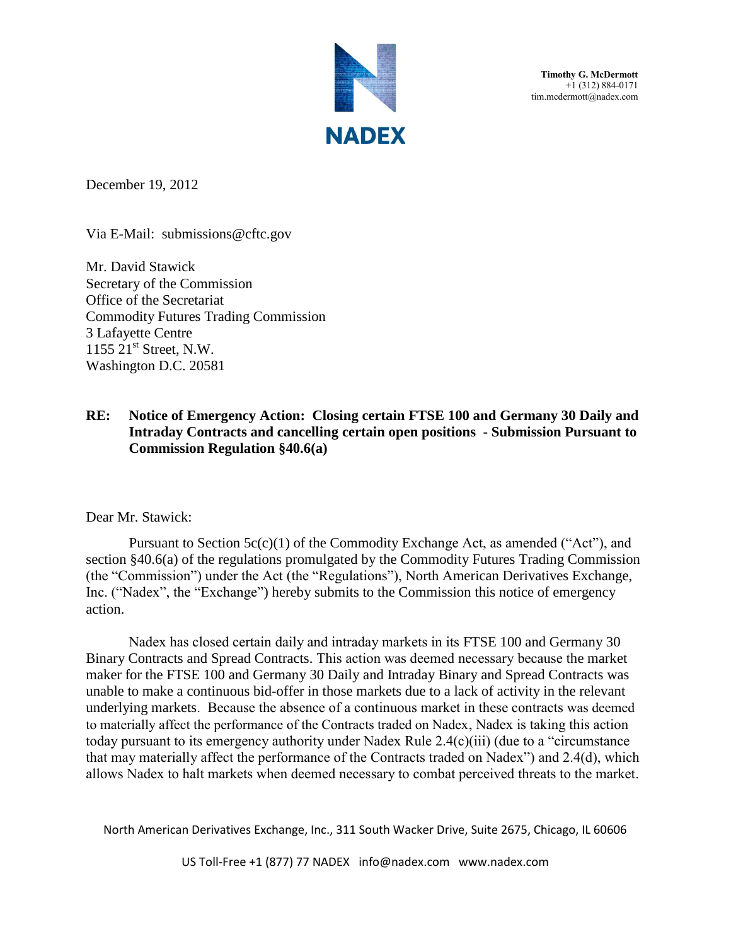

**Timothy G. McDermott** +1 (312) 884-0171 tim.mcdermott@nadex.com

December 19, 2012

Via E-Mail: submissions@cftc.gov

Mr. David Stawick Secretary of the Commission Office of the Secretariat Commodity Futures Trading Commission 3 Lafayette Centre  $1155$   $21<sup>st</sup>$  Street, N.W. Washington D.C. 20581

## **RE: Notice of Emergency Action: Closing certain FTSE 100 and Germany 30 Daily and Intraday Contracts and cancelling certain open positions - Submission Pursuant to Commission Regulation §40.6(a)**

Dear Mr. Stawick:

Pursuant to Section 5c(c)(1) of the Commodity Exchange Act, as amended ("Act"), and section §40.6(a) of the regulations promulgated by the Commodity Futures Trading Commission (the "Commission") under the Act (the "Regulations"), North American Derivatives Exchange, Inc. ("Nadex", the "Exchange") hereby submits to the Commission this notice of emergency action.

Nadex has closed certain daily and intraday markets in its FTSE 100 and Germany 30 Binary Contracts and Spread Contracts. This action was deemed necessary because the market maker for the FTSE 100 and Germany 30 Daily and Intraday Binary and Spread Contracts was unable to make a continuous bid-offer in those markets due to a lack of activity in the relevant underlying markets. Because the absence of a continuous market in these contracts was deemed to materially affect the performance of the Contracts traded on Nadex, Nadex is taking this action today pursuant to its emergency authority under Nadex Rule 2.4(c)(iii) (due to a "circumstance that may materially affect the performance of the Contracts traded on Nadex") and 2.4(d), which allows Nadex to halt markets when deemed necessary to combat perceived threats to the market.

North American Derivatives Exchange, Inc., 311 South Wacker Drive, Suite 2675, Chicago, IL 60606

US Toll-Free +1 (877) 77 NADEX info@nadex.com www.nadex.com